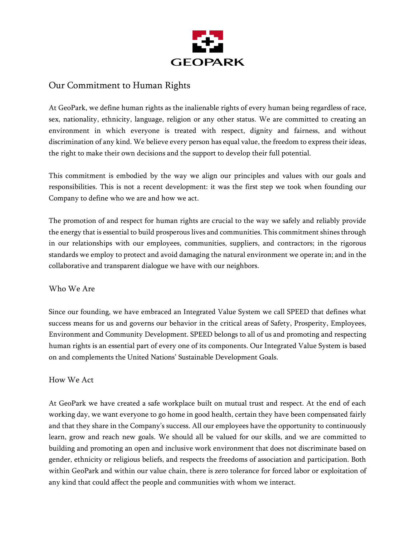

## Our Commitment to Human Rights

At GeoPark, we define human rights as the inalienable rights of every human being regardless of race, sex, nationality, ethnicity, language, religion or any other status. We are committed to creating an environment in which everyone is treated with respect, dignity and fairness, and without discrimination of any kind. We believe every person has equal value, the freedom to express their ideas, the right to make their own decisions and the support to develop their full potential.

This commitment is embodied by the way we align our principles and values with our goals and responsibilities. This is not a recent development: it was the first step we took when founding our Company to define who we are and how we act.

The promotion of and respect for human rights are crucial to the way we safely and reliably provide the energy that is essential to build prosperous lives and communities. This commitment shines through in our relationships with our employees, communities, suppliers, and contractors; in the rigorous standards we employ to protect and avoid damaging the natural environment we operate in; and in the collaborative and transparent dialogue we have with our neighbors.

## Who We Are

Since our founding, we have embraced an Integrated Value System we call SPEED that defines what success means for us and governs our behavior in the critical areas of Safety, Prosperity, Employees, Environment and Community Development. SPEED belongs to all of us and promoting and respecting human rights is an essential part of every one of its components. Our Integrated Value System is based on and complements the United Nations' Sustainable Development Goals.

## How We Act

At GeoPark we have created a safe workplace built on mutual trust and respect. At the end of each working day, we want everyone to go home in good health, certain they have been compensated fairly and that they share in the Company's success. All our employees have the opportunity to continuously learn, grow and reach new goals. We should all be valued for our skills, and we are committed to building and promoting an open and inclusive work environment that does not discriminate based on gender, ethnicity or religious beliefs, and respects the freedoms of association and participation. Both within GeoPark and within our value chain, there is zero tolerance for forced labor or exploitation of any kind that could affect the people and communities with whom we interact.